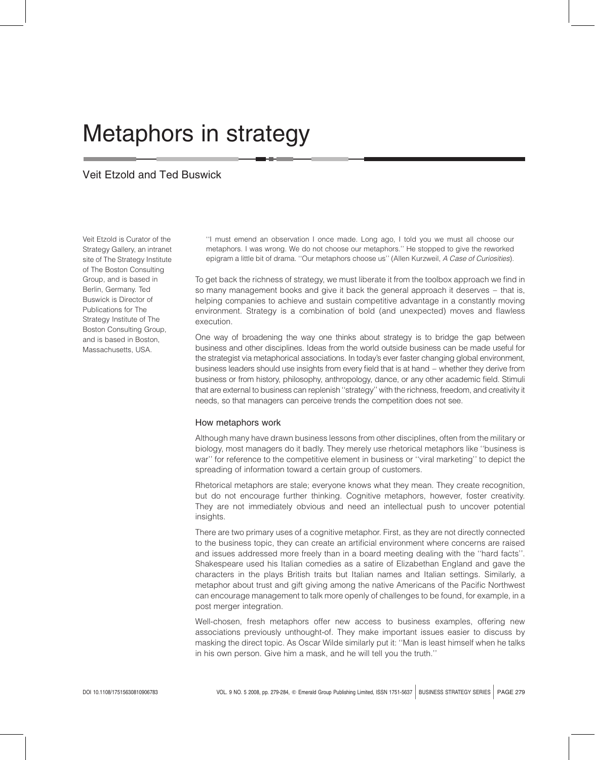# Metaphors in strategy

# Veit Etzold and Ted Buswick

Veit Etzold is Curator of the Strategy Gallery, an intranet site of The Strategy Institute of The Boston Consulting Group, and is based in Berlin, Germany. Ted Buswick is Director of Publications for The Strategy Institute of The Boston Consulting Group, and is based in Boston, Massachusetts, USA.

''I must emend an observation I once made. Long ago, I told you we must all choose our metaphors. I was wrong. We do not choose our metaphors.'' He stopped to give the reworked epigram a little bit of drama. ''Our metaphors choose us'' (Allen Kurzweil, A Case of Curiosities).

To get back the richness of strategy, we must liberate it from the toolbox approach we find in so many management books and give it back the general approach it deserves – that is, helping companies to achieve and sustain competitive advantage in a constantly moving environment. Strategy is a combination of bold (and unexpected) moves and flawless execution.

One way of broadening the way one thinks about strategy is to bridge the gap between business and other disciplines. Ideas from the world outside business can be made useful for the strategist via metaphorical associations. In today's ever faster changing global environment, business leaders should use insights from every field that is at hand – whether they derive from business or from history, philosophy, anthropology, dance, or any other academic field. Stimuli that are external to business can replenish ''strategy'' with the richness, freedom, and creativity it needs, so that managers can perceive trends the competition does not see.

# How metaphors work

Although many have drawn business lessons from other disciplines, often from the military or biology, most managers do it badly. They merely use rhetorical metaphors like ''business is war'' for reference to the competitive element in business or ''viral marketing'' to depict the spreading of information toward a certain group of customers.

Rhetorical metaphors are stale; everyone knows what they mean. They create recognition, but do not encourage further thinking. Cognitive metaphors, however, foster creativity. They are not immediately obvious and need an intellectual push to uncover potential insights.

There are two primary uses of a cognitive metaphor. First, as they are not directly connected to the business topic, they can create an artificial environment where concerns are raised and issues addressed more freely than in a board meeting dealing with the ''hard facts''. Shakespeare used his Italian comedies as a satire of Elizabethan England and gave the characters in the plays British traits but Italian names and Italian settings. Similarly, a metaphor about trust and gift giving among the native Americans of the Pacific Northwest can encourage management to talk more openly of challenges to be found, for example, in a post merger integration.

Well-chosen, fresh metaphors offer new access to business examples, offering new associations previously unthought-of. They make important issues easier to discuss by masking the direct topic. As Oscar Wilde similarly put it: ''Man is least himself when he talks in his own person. Give him a mask, and he will tell you the truth.''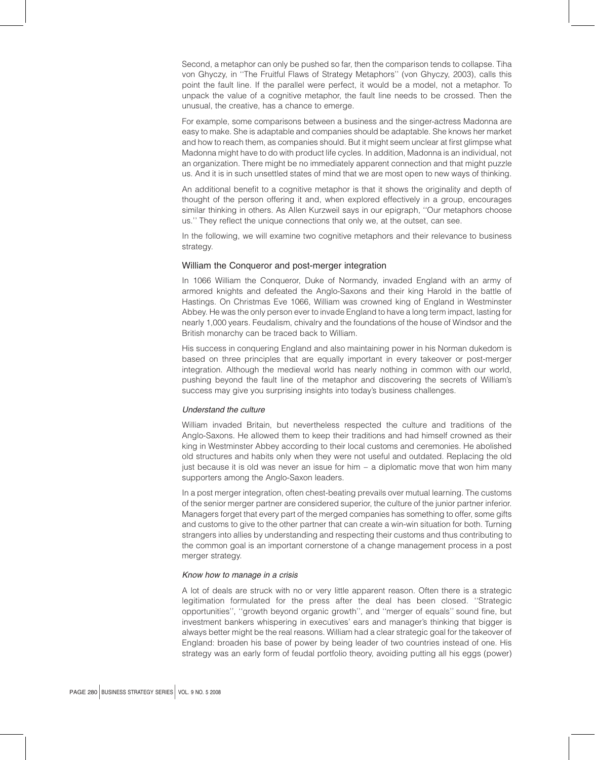Second, a metaphor can only be pushed so far, then the comparison tends to collapse. Tiha von Ghyczy, in ''The Fruitful Flaws of Strategy Metaphors'' (von Ghyczy, 2003), calls this point the fault line. If the parallel were perfect, it would be a model, not a metaphor. To unpack the value of a cognitive metaphor, the fault line needs to be crossed. Then the unusual, the creative, has a chance to emerge.

For example, some comparisons between a business and the singer-actress Madonna are easy to make. She is adaptable and companies should be adaptable. She knows her market and how to reach them, as companies should. But it might seem unclear at first glimpse what Madonna might have to do with product life cycles. In addition, Madonna is an individual, not an organization. There might be no immediately apparent connection and that might puzzle us. And it is in such unsettled states of mind that we are most open to new ways of thinking.

An additional benefit to a cognitive metaphor is that it shows the originality and depth of thought of the person offering it and, when explored effectively in a group, encourages similar thinking in others. As Allen Kurzweil says in our epigraph, ''Our metaphors choose us.'' They reflect the unique connections that only we, at the outset, can see.

In the following, we will examine two cognitive metaphors and their relevance to business strategy.

### William the Conqueror and post-merger integration

In 1066 William the Conqueror, Duke of Normandy, invaded England with an army of armored knights and defeated the Anglo-Saxons and their king Harold in the battle of Hastings. On Christmas Eve 1066, William was crowned king of England in Westminster Abbey. He was the only person ever to invade England to have a long term impact, lasting for nearly 1,000 years. Feudalism, chivalry and the foundations of the house of Windsor and the British monarchy can be traced back to William.

His success in conquering England and also maintaining power in his Norman dukedom is based on three principles that are equally important in every takeover or post-merger integration. Although the medieval world has nearly nothing in common with our world, pushing beyond the fault line of the metaphor and discovering the secrets of William's success may give you surprising insights into today's business challenges.

# Understand the culture

William invaded Britain, but nevertheless respected the culture and traditions of the Anglo-Saxons. He allowed them to keep their traditions and had himself crowned as their king in Westminster Abbey according to their local customs and ceremonies. He abolished old structures and habits only when they were not useful and outdated. Replacing the old just because it is old was never an issue for him – a diplomatic move that won him many supporters among the Anglo-Saxon leaders.

In a post merger integration, often chest-beating prevails over mutual learning. The customs of the senior merger partner are considered superior, the culture of the junior partner inferior. Managers forget that every part of the merged companies has something to offer, some gifts and customs to give to the other partner that can create a win-win situation for both. Turning strangers into allies by understanding and respecting their customs and thus contributing to the common goal is an important cornerstone of a change management process in a post merger strategy.

#### Know how to manage in a crisis

A lot of deals are struck with no or very little apparent reason. Often there is a strategic legitimation formulated for the press after the deal has been closed. ''Strategic opportunities'', ''growth beyond organic growth'', and ''merger of equals'' sound fine, but investment bankers whispering in executives' ears and manager's thinking that bigger is always better might be the real reasons. William had a clear strategic goal for the takeover of England: broaden his base of power by being leader of two countries instead of one. His strategy was an early form of feudal portfolio theory, avoiding putting all his eggs (power)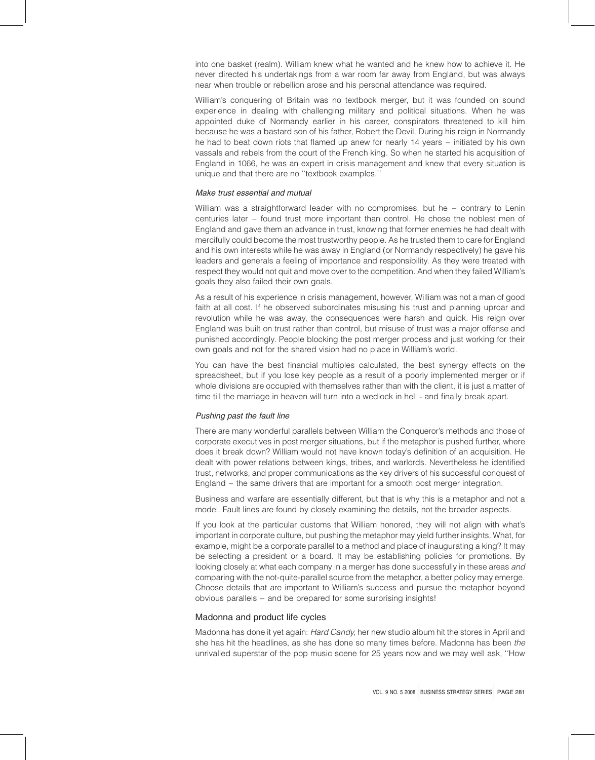into one basket (realm). William knew what he wanted and he knew how to achieve it. He never directed his undertakings from a war room far away from England, but was always near when trouble or rebellion arose and his personal attendance was required.

William's conquering of Britain was no textbook merger, but it was founded on sound experience in dealing with challenging military and political situations. When he was appointed duke of Normandy earlier in his career, conspirators threatened to kill him because he was a bastard son of his father, Robert the Devil. During his reign in Normandy he had to beat down riots that flamed up anew for nearly 14 years – initiated by his own vassals and rebels from the court of the French king. So when he started his acquisition of England in 1066, he was an expert in crisis management and knew that every situation is unique and that there are no ''textbook examples.''

#### Make trust essential and mutual

William was a straightforward leader with no compromises, but he – contrary to Lenin centuries later – found trust more important than control. He chose the noblest men of England and gave them an advance in trust, knowing that former enemies he had dealt with mercifully could become the most trustworthy people. As he trusted them to care for England and his own interests while he was away in England (or Normandy respectively) he gave his leaders and generals a feeling of importance and responsibility. As they were treated with respect they would not quit and move over to the competition. And when they failed William's goals they also failed their own goals.

As a result of his experience in crisis management, however, William was not a man of good faith at all cost. If he observed subordinates misusing his trust and planning uproar and revolution while he was away, the consequences were harsh and quick. His reign over England was built on trust rather than control, but misuse of trust was a major offense and punished accordingly. People blocking the post merger process and just working for their own goals and not for the shared vision had no place in William's world.

You can have the best financial multiples calculated, the best synergy effects on the spreadsheet, but if you lose key people as a result of a poorly implemented merger or if whole divisions are occupied with themselves rather than with the client, it is just a matter of time till the marriage in heaven will turn into a wedlock in hell - and finally break apart.

# Pushing past the fault line

There are many wonderful parallels between William the Conqueror's methods and those of corporate executives in post merger situations, but if the metaphor is pushed further, where does it break down? William would not have known today's definition of an acquisition. He dealt with power relations between kings, tribes, and warlords. Nevertheless he identified trust, networks, and proper communications as the key drivers of his successful conquest of England – the same drivers that are important for a smooth post merger integration.

Business and warfare are essentially different, but that is why this is a metaphor and not a model. Fault lines are found by closely examining the details, not the broader aspects.

If you look at the particular customs that William honored, they will not align with what's important in corporate culture, but pushing the metaphor may yield further insights. What, for example, might be a corporate parallel to a method and place of inaugurating a king? It may be selecting a president or a board. It may be establishing policies for promotions. By looking closely at what each company in a merger has done successfully in these areas and comparing with the not-quite-parallel source from the metaphor, a better policy may emerge. Choose details that are important to William's success and pursue the metaphor beyond obvious parallels – and be prepared for some surprising insights!

#### Madonna and product life cycles

Madonna has done it yet again: Hard Candy, her new studio album hit the stores in April and she has hit the headlines, as she has done so many times before. Madonna has been the unrivalled superstar of the pop music scene for 25 years now and we may well ask, ''How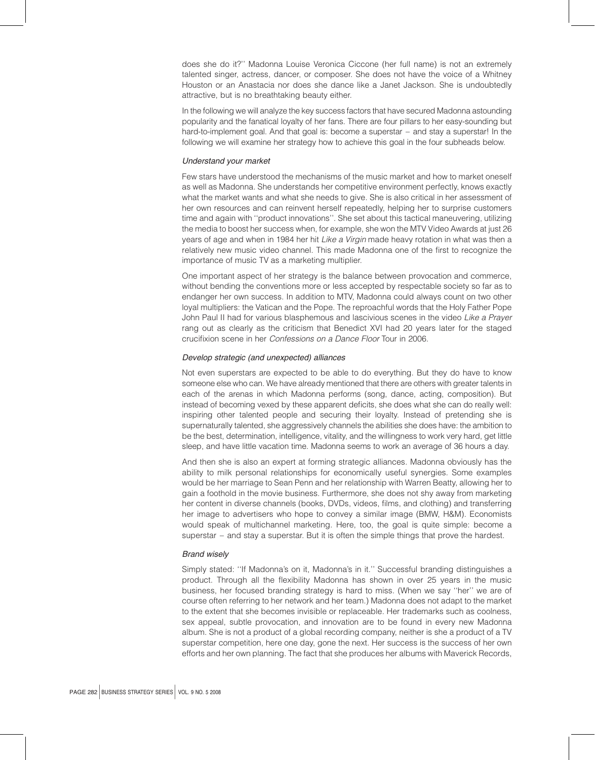does she do it?'' Madonna Louise Veronica Ciccone (her full name) is not an extremely talented singer, actress, dancer, or composer. She does not have the voice of a Whitney Houston or an Anastacia nor does she dance like a Janet Jackson. She is undoubtedly attractive, but is no breathtaking beauty either.

In the following we will analyze the key success factors that have secured Madonna astounding popularity and the fanatical loyalty of her fans. There are four pillars to her easy-sounding but hard-to-implement goal. And that goal is: become a superstar – and stay a superstar! In the following we will examine her strategy how to achieve this goal in the four subheads below.

# Understand your market

Few stars have understood the mechanisms of the music market and how to market oneself as well as Madonna. She understands her competitive environment perfectly, knows exactly what the market wants and what she needs to give. She is also critical in her assessment of her own resources and can reinvent herself repeatedly, helping her to surprise customers time and again with ''product innovations''. She set about this tactical maneuvering, utilizing the media to boost her success when, for example, she won the MTV Video Awards at just 26 years of age and when in 1984 her hit *Like a Virgin* made heavy rotation in what was then a relatively new music video channel. This made Madonna one of the first to recognize the importance of music TV as a marketing multiplier.

One important aspect of her strategy is the balance between provocation and commerce, without bending the conventions more or less accepted by respectable society so far as to endanger her own success. In addition to MTV, Madonna could always count on two other loyal multipliers: the Vatican and the Pope. The reproachful words that the Holy Father Pope John Paul II had for various blasphemous and lascivious scenes in the video Like a Prayer rang out as clearly as the criticism that Benedict XVI had 20 years later for the staged crucifixion scene in her Confessions on a Dance Floor Tour in 2006.

#### Develop strategic (and unexpected) alliances

Not even superstars are expected to be able to do everything. But they do have to know someone else who can. We have already mentioned that there are others with greater talents in each of the arenas in which Madonna performs (song, dance, acting, composition). But instead of becoming vexed by these apparent deficits, she does what she can do really well: inspiring other talented people and securing their loyalty. Instead of pretending she is supernaturally talented, she aggressively channels the abilities she does have: the ambition to be the best, determination, intelligence, vitality, and the willingness to work very hard, get little sleep, and have little vacation time. Madonna seems to work an average of 36 hours a day.

And then she is also an expert at forming strategic alliances. Madonna obviously has the ability to milk personal relationships for economically useful synergies. Some examples would be her marriage to Sean Penn and her relationship with Warren Beatty, allowing her to gain a foothold in the movie business. Furthermore, she does not shy away from marketing her content in diverse channels (books, DVDs, videos, films, and clothing) and transferring her image to advertisers who hope to convey a similar image (BMW, H&M). Economists would speak of multichannel marketing. Here, too, the goal is quite simple: become a superstar – and stay a superstar. But it is often the simple things that prove the hardest.

#### Brand wisely

Simply stated: ''If Madonna's on it, Madonna's in it.'' Successful branding distinguishes a product. Through all the flexibility Madonna has shown in over 25 years in the music business, her focused branding strategy is hard to miss. (When we say ''her'' we are of course often referring to her network and her team.) Madonna does not adapt to the market to the extent that she becomes invisible or replaceable. Her trademarks such as coolness, sex appeal, subtle provocation, and innovation are to be found in every new Madonna album. She is not a product of a global recording company, neither is she a product of a TV superstar competition, here one day, gone the next. Her success is the success of her own efforts and her own planning. The fact that she produces her albums with Maverick Records,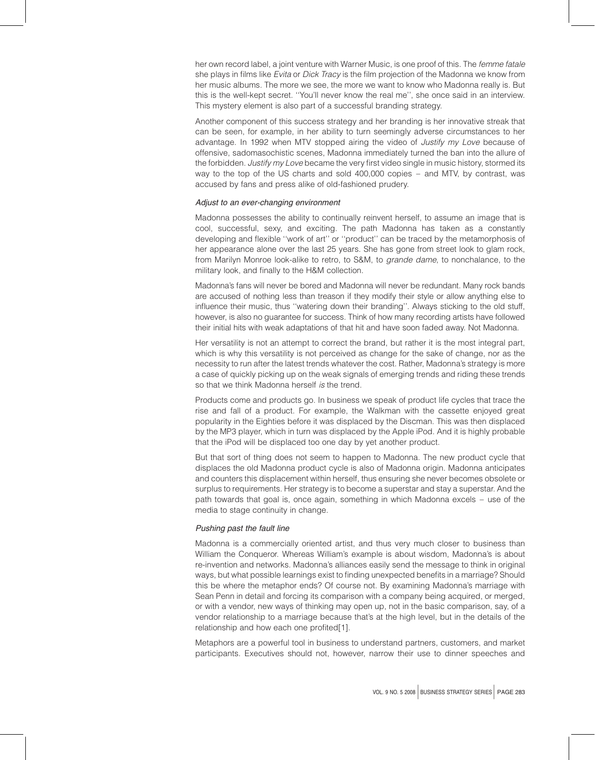her own record label, a joint venture with Warner Music, is one proof of this. The femme fatale she plays in films like *Evita* or *Dick Tracy* is the film projection of the Madonna we know from her music albums. The more we see, the more we want to know who Madonna really is. But this is the well-kept secret. ''You'll never know the real me'', she once said in an interview. This mystery element is also part of a successful branding strategy.

Another component of this success strategy and her branding is her innovative streak that can be seen, for example, in her ability to turn seemingly adverse circumstances to her advantage. In 1992 when MTV stopped airing the video of Justify my Love because of offensive, sadomasochistic scenes, Madonna immediately turned the ban into the allure of the forbidden. Justify my Love became the very first video single in music history, stormed its way to the top of the US charts and sold 400,000 copies – and MTV, by contrast, was accused by fans and press alike of old-fashioned prudery.

#### Adjust to an ever-changing environment

Madonna possesses the ability to continually reinvent herself, to assume an image that is cool, successful, sexy, and exciting. The path Madonna has taken as a constantly developing and flexible ''work of art'' or ''product'' can be traced by the metamorphosis of her appearance alone over the last 25 years. She has gone from street look to glam rock, from Marilyn Monroe look-alike to retro, to S&M, to grande dame, to nonchalance, to the military look, and finally to the H&M collection.

Madonna's fans will never be bored and Madonna will never be redundant. Many rock bands are accused of nothing less than treason if they modify their style or allow anything else to influence their music, thus ''watering down their branding''. Always sticking to the old stuff, however, is also no guarantee for success. Think of how many recording artists have followed their initial hits with weak adaptations of that hit and have soon faded away. Not Madonna.

Her versatility is not an attempt to correct the brand, but rather it is the most integral part, which is why this versatility is not perceived as change for the sake of change, nor as the necessity to run after the latest trends whatever the cost. Rather, Madonna's strategy is more a case of quickly picking up on the weak signals of emerging trends and riding these trends so that we think Madonna herself is the trend.

Products come and products go. In business we speak of product life cycles that trace the rise and fall of a product. For example, the Walkman with the cassette enjoyed great popularity in the Eighties before it was displaced by the Discman. This was then displaced by the MP3 player, which in turn was displaced by the Apple iPod. And it is highly probable that the iPod will be displaced too one day by yet another product.

But that sort of thing does not seem to happen to Madonna. The new product cycle that displaces the old Madonna product cycle is also of Madonna origin. Madonna anticipates and counters this displacement within herself, thus ensuring she never becomes obsolete or surplus to requirements. Her strategy is to become a superstar and stay a superstar. And the path towards that goal is, once again, something in which Madonna excels – use of the media to stage continuity in change.

#### Pushing past the fault line

Madonna is a commercially oriented artist, and thus very much closer to business than William the Conqueror. Whereas William's example is about wisdom, Madonna's is about re-invention and networks. Madonna's alliances easily send the message to think in original ways, but what possible learnings exist to finding unexpected benefits in a marriage? Should this be where the metaphor ends? Of course not. By examining Madonna's marriage with Sean Penn in detail and forcing its comparison with a company being acquired, or merged, or with a vendor, new ways of thinking may open up, not in the basic comparison, say, of a vendor relationship to a marriage because that's at the high level, but in the details of the relationship and how each one profited[1].

Metaphors are a powerful tool in business to understand partners, customers, and market participants. Executives should not, however, narrow their use to dinner speeches and